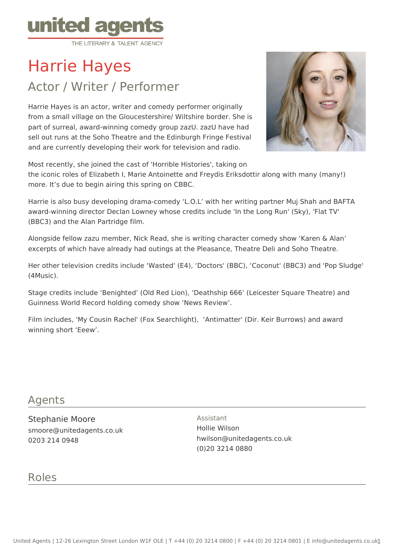

# Harrie Hayes

# Actor / Writer / Performer

Harrie Hayes is an actor, writer and comedy performer originally from a small village on the Gloucestershire/ Wiltshire border. She is part of surreal, award-winning comedy group zazU. zazU have had sell out runs at the Soho Theatre and the Edinburgh Fringe Festival and are currently developing their work for television and radio.



Most recently, she joined the cast of 'Horrible Histories', taking on

the iconic roles of Elizabeth I, Marie Antoinette and Freydis Eriksdottir along with many (many!) more. It's due to begin airing this spring on CBBC.

Harrie is also busy developing drama-comedy 'L.O.L' with her writing partner Muj Shah and BAFTA award-winning director Declan Lowney whose credits include 'In the Long Run' (Sky), 'Flat TV' (BBC3) and the Alan Partridge film.

Alongside fellow zazu member, Nick Read, she is writing character comedy show 'Karen & Alan' excerpts of which have already had outings at the Pleasance, Theatre Deli and Soho Theatre.

Her other television credits include 'Wasted' (E4), 'Doctors' (BBC), 'Coconut' (BBC3) and 'Pop Sludge' (4Music).

Stage credits include 'Benighted' (Old Red Lion), 'Deathship 666' (Leicester Square Theatre) and Guinness World Record holding comedy show 'News Review'.

Film includes, 'My Cousin Rachel' (Fox Searchlight), 'Antimatter' (Dir. Keir Burrows) and award winning short 'Eeew'.

#### Agents

Stephanie Moore smoore@unitedagents.co.uk 0203 214 0948

Assistant Hollie Wilson hwilson@unitedagents.co.uk (0)20 3214 0880

# Roles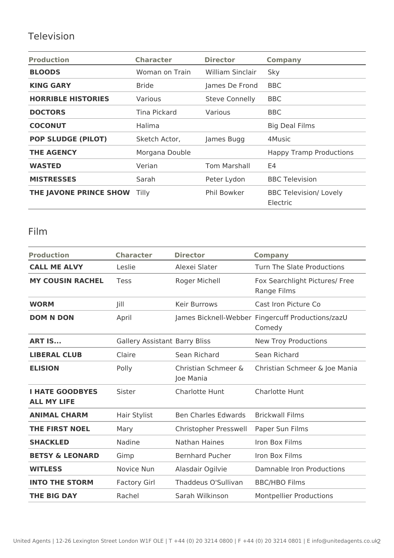## Television

| <b>Production</b>         | <b>Character</b> | <b>Director</b>         | <b>Company</b>                            |
|---------------------------|------------------|-------------------------|-------------------------------------------|
| <b>BLOODS</b>             | Woman on Train   | <b>William Sinclair</b> | Sky                                       |
| <b>KING GARY</b>          | <b>Bride</b>     | James De Frond          | <b>BBC</b>                                |
| <b>HORRIBLE HISTORIES</b> | Various          | <b>Steve Connelly</b>   | <b>BBC</b>                                |
| <b>DOCTORS</b>            | Tina Pickard     | Various                 | BBC                                       |
| <b>COCONUT</b>            | Halima           |                         | <b>Big Deal Films</b>                     |
| <b>POP SLUDGE (PILOT)</b> | Sketch Actor,    | James Bugg              | 4Music                                    |
| <b>THE AGENCY</b>         | Morgana Double   |                         | <b>Happy Tramp Productions</b>            |
| <b>WASTED</b>             | Verian           | <b>Tom Marshall</b>     | E4                                        |
| <b>MISTRESSES</b>         | Sarah            | Peter Lydon             | <b>BBC Television</b>                     |
| THE JAVONE PRINCE SHOW    | <b>Tilly</b>     | <b>Phil Bowker</b>      | <b>BBC Television/ Lovely</b><br>Electric |

#### Film

| <b>Production</b>                            | <b>Character</b>              | <b>Director</b>                  | <b>Company</b>                                              |
|----------------------------------------------|-------------------------------|----------------------------------|-------------------------------------------------------------|
| <b>CALL ME ALVY</b>                          | Leslie                        | Alexei Slater                    | Turn The Slate Productions                                  |
| <b>MY COUSIN RACHEL</b>                      | Tess                          | Roger Michell                    | Fox Searchlight Pictures/ Free<br>Range Films               |
| <b>WORM</b>                                  | Jill                          | <b>Keir Burrows</b>              | Cast Iron Picture Co                                        |
| <b>DOM N DON</b>                             | April                         |                                  | James Bicknell-Webber Fingercuff Productions/zazU<br>Comedy |
| <b>ART IS</b>                                | Gallery Assistant Barry Bliss |                                  | <b>New Troy Productions</b>                                 |
| <b>LIBERAL CLUB</b>                          | Claire                        | Sean Richard                     | Sean Richard                                                |
| <b>ELISION</b>                               | Polly                         | Christian Schmeer &<br>Joe Mania | Christian Schmeer & Joe Mania                               |
| <b>I HATE GOODBYES</b><br><b>ALL MY LIFE</b> | Sister                        | <b>Charlotte Hunt</b>            | <b>Charlotte Hunt</b>                                       |
| <b>ANIMAL CHARM</b>                          | Hair Stylist                  | <b>Ben Charles Edwards</b>       | <b>Brickwall Films</b>                                      |
| <b>THE FIRST NOEL</b>                        | Mary                          | Christopher Presswell            | Paper Sun Films                                             |
| <b>SHACKLED</b>                              | Nadine                        | <b>Nathan Haines</b>             | Iron Box Films                                              |
| <b>BETSY &amp; LEONARD</b>                   | Gimp                          | <b>Bernhard Pucher</b>           | Iron Box Films                                              |
| <b>WITLESS</b>                               | Novice Nun                    | Alasdair Ogilvie                 | Damnable Iron Productions                                   |
| <b>INTO THE STORM</b>                        | <b>Factory Girl</b>           | Thaddeus O'Sullivan              | <b>BBC/HBO Films</b>                                        |
| <b>THE BIG DAY</b>                           | Rachel                        | Sarah Wilkinson                  | <b>Montpellier Productions</b>                              |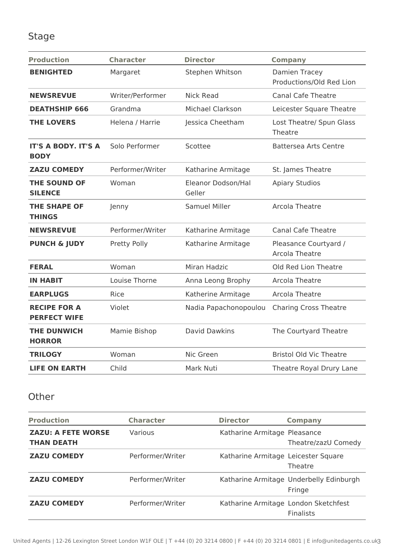### Stage

| <b>Production</b>                          | <b>Character</b> | <b>Director</b>              | <b>Company</b>                            |
|--------------------------------------------|------------------|------------------------------|-------------------------------------------|
| <b>BENIGHTED</b>                           | Margaret         | Stephen Whitson              | Damien Tracey<br>Productions/Old Red Lion |
| <b>NEWSREVUE</b>                           | Writer/Performer | <b>Nick Read</b>             | <b>Canal Cafe Theatre</b>                 |
| <b>DEATHSHIP 666</b>                       | Grandma          | Michael Clarkson             | Leicester Square Theatre                  |
| <b>THE LOVERS</b>                          | Helena / Harrie  | Jessica Cheetham             | Lost Theatre/ Spun Glass<br>Theatre       |
| <b>IT'S A BODY. IT'S A</b><br><b>BODY</b>  | Solo Performer   | Scottee                      | <b>Battersea Arts Centre</b>              |
| <b>ZAZU COMEDY</b>                         | Performer/Writer | Katharine Armitage           | St. James Theatre                         |
| <b>THE SOUND OF</b><br><b>SILENCE</b>      | Woman            | Eleanor Dodson/Hal<br>Geller | <b>Apiary Studios</b>                     |
| <b>THE SHAPE OF</b><br><b>THINGS</b>       | Jenny            | <b>Samuel Miller</b>         | <b>Arcola Theatre</b>                     |
| <b>NEWSREVUE</b>                           | Performer/Writer | Katharine Armitage           | <b>Canal Cafe Theatre</b>                 |
| <b>PUNCH &amp; JUDY</b>                    | Pretty Polly     | Katharine Armitage           | Pleasance Courtyard /<br>Arcola Theatre   |
| <b>FERAL</b>                               | Woman            | Miran Hadzic                 | Old Red Lion Theatre                      |
| <b>IN HABIT</b>                            | Louise Thorne    | Anna Leong Brophy            | Arcola Theatre                            |
| <b>EARPLUGS</b>                            | Rice             | Katherine Armitage           | Arcola Theatre                            |
| <b>RECIPE FOR A</b><br><b>PERFECT WIFE</b> | Violet           | Nadia Papachonopoulou        | <b>Charing Cross Theatre</b>              |
| <b>THE DUNWICH</b><br><b>HORROR</b>        | Mamie Bishop     | <b>David Dawkins</b>         | The Courtyard Theatre                     |
| <b>TRILOGY</b>                             | Woman            | Nic Green                    | <b>Bristol Old Vic Theatre</b>            |
| <b>LIFE ON EARTH</b>                       | Child            | Mark Nuti                    | Theatre Royal Drury Lane                  |

#### **Other**

| <b>Production</b>                              | <b>Character</b> | <b>Director</b>                     | <b>Company</b>                                           |
|------------------------------------------------|------------------|-------------------------------------|----------------------------------------------------------|
| <b>ZAZU: A FETE WORSE</b><br><b>THAN DEATH</b> | Various          | Katharine Armitage Pleasance        | Theatre/zazU Comedy                                      |
| <b>ZAZU COMEDY</b>                             | Performer/Writer | Katharine Armitage Leicester Square | Theatre                                                  |
| <b>ZAZU COMEDY</b>                             | Performer/Writer |                                     | Katharine Armitage Underbelly Edinburgh<br>Fringe        |
| <b>ZAZU COMEDY</b>                             | Performer/Writer |                                     | Katharine Armitage London Sketchfest<br><b>Finalists</b> |